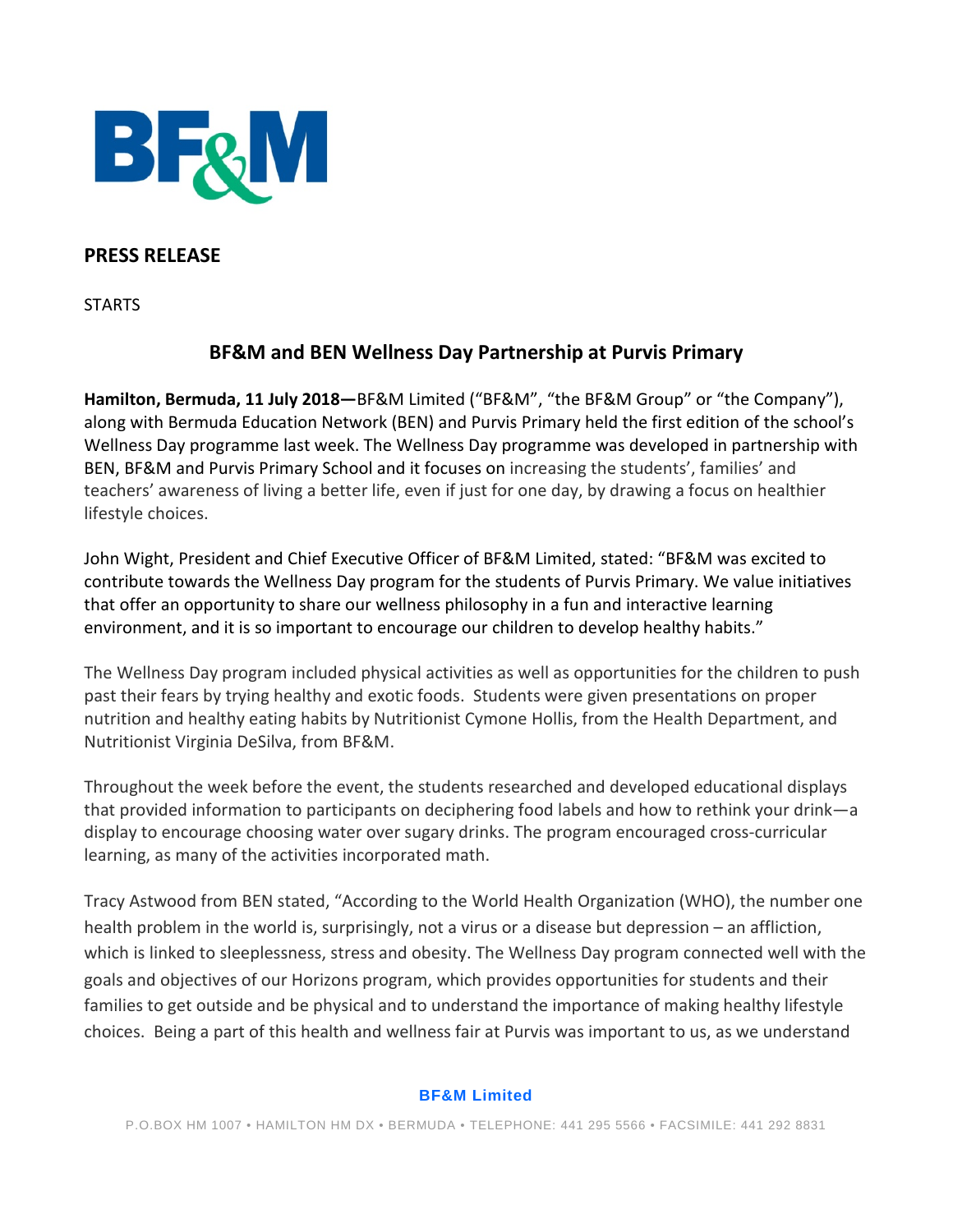

### **PRESS RELEASE**

**STARTS** 

# **BF&M and BEN Wellness Day Partnership at Purvis Primary**

**Hamilton, Bermuda, 11 July 2018—**BF&M Limited ("BF&M", "the BF&M Group" or "the Company"), along with Bermuda Education Network (BEN) and Purvis Primary held the first edition of the school's Wellness Day programme last week. The Wellness Day programme was developed in partnership with BEN, BF&M and Purvis Primary School and it focuses on increasing the students', families' and teachers' awareness of living a better life, even if just for one day, by drawing a focus on healthier lifestyle choices.

John Wight, President and Chief Executive Officer of BF&M Limited, stated: "BF&M was excited to contribute towards the Wellness Day program for the students of Purvis Primary. We value initiatives that offer an opportunity to share our wellness philosophy in a fun and interactive learning environment, and it is so important to encourage our children to develop healthy habits."

The Wellness Day program included physical activities as well as opportunities for the children to push past their fears by trying healthy and exotic foods. Students were given presentations on proper nutrition and healthy eating habits by Nutritionist Cymone Hollis, from the Health Department, and Nutritionist Virginia DeSilva, from BF&M.

Throughout the week before the event, the students researched and developed educational displays that provided information to participants on deciphering food labels and how to rethink your drink—a display to encourage choosing water over sugary drinks. The program encouraged cross-curricular learning, as many of the activities incorporated math.

Tracy Astwood from BEN stated, "According to the World Health Organization (WHO), the number one health problem in the world is, surprisingly, not a virus or a disease but depression – an affliction, which is linked to sleeplessness, stress and obesity. The Wellness Day program connected well with the goals and objectives of our Horizons program, which provides opportunities for students and their families to get outside and be physical and to understand the importance of making healthy lifestyle choices. Being a part of this health and wellness fair at Purvis was important to us, as we understand

#### **BF&M Limited**